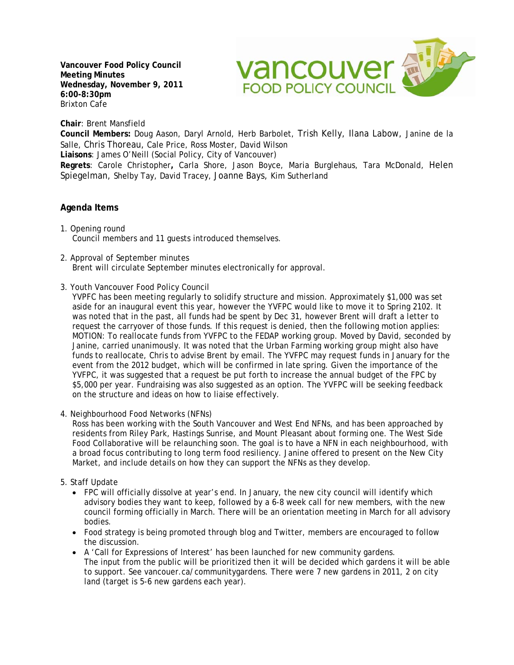**Vancouver Food Policy Council Meeting Minutes Wednesday, November 9, 2011 6:00-8:30pm**  Brixton Cafe



**Chair**: Brent Mansfield

**Council Members:** Doug Aason, Daryl Arnold, Herb Barbolet, Trish Kelly, Ilana Labow, Janine de la Salle, Chris Thoreau, Cale Price, Ross Moster, David Wilson

**Liaisons**: James O'Neill (Social Policy, City of Vancouver)

**Regrets**: Carole Christopher**,** Carla Shore, Jason Boyce, Maria Burglehaus, Tara McDonald, Helen Spiegelman, Shelby Tay, David Tracey, Joanne Bays, Kim Sutherland

## **Agenda Items**

- 1. Opening round Council members and 11 guests introduced themselves.
- 2. Approval of September minutes Brent will circulate September minutes electronically for approval.
- 3. Youth Vancouver Food Policy Council

YVPFC has been meeting regularly to solidify structure and mission. Approximately \$1,000 was set aside for an inaugural event this year, however the YVFPC would like to move it to Spring 2102. It was noted that in the past, all funds had be spent by Dec 31, however Brent will draft a letter to request the carryover of those funds. If this request is denied, then the following motion applies: MOTION: To reallocate funds from YVFPC to the FEDAP working group. Moved by David, seconded by Janine, carried unanimously. It was noted that the Urban Farming working group might also have funds to reallocate, Chris to advise Brent by email. The YVFPC may request funds in January for the event from the 2012 budget, which will be confirmed in late spring. Given the importance of the YVFPC, it was suggested that a request be put forth to increase the annual budget of the FPC by \$5,000 per year. Fundraising was also suggested as an option. The YVFPC will be seeking feedback on the structure and ideas on how to liaise effectively.

4. Neighbourhood Food Networks (NFNs)

Ross has been working with the South Vancouver and West End NFNs, and has been approached by residents from Riley Park, Hastings Sunrise, and Mount Pleasant about forming one. The West Side Food Collaborative will be relaunching soon. The goal is to have a NFN in each neighbourhood, with a broad focus contributing to long term food resiliency. Janine offered to present on the New City Market, and include details on how they can support the NFNs as they develop.

- 5. Staff Update
	- FPC will officially dissolve at year's end. In January, the new city council will identify which advisory bodies they want to keep, followed by a 6-8 week call for new members, with the new council forming officially in March. There will be an orientation meeting in March for all advisory bodies.
	- Food strategy is being promoted through blog and Twitter, members are encouraged to follow the discussion.
	- A 'Call for Expressions of Interest' has been launched for new community gardens. The input from the public will be prioritized then it will be decided which gardens it will be able to support. See vancouer.ca/communitygardens. There were 7 new gardens in 2011, 2 on city land (target is 5-6 new gardens each year).